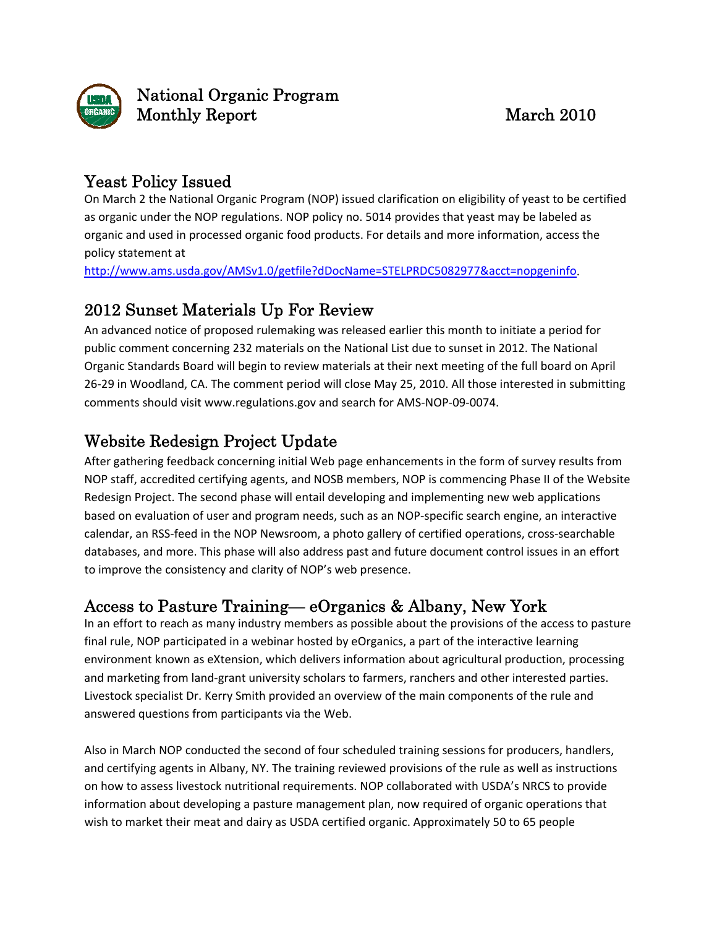

#### Yeast Policy Issued

On March 2 the National Organic Program (NOP) issued clarification on eligibility of yeast to be certified as organic under the NOP regulations. NOP policy no. 5014 provides that yeast may be labeled as organic and used in processed organic food products. For details and more information, access the policy statement at

<http://www.ams.usda.gov/AMSv1.0/getfile?dDocName=STELPRDC5082977&acct=nopgeninfo>.

#### 2012 Sunset Materials Up For Review

An advanced notice of proposed rulemaking was released earlier this month to initiate a period for public comment concerning 232 materials on the National List due to sunset in 2012. The National Organic Standards Board will begin to review materials at their next meeting of the full board on April 26‐29 in Woodland, CA. The comment period will close May 25, 2010. All those interested in submitting comments should visit [www.regulations.gov](http://www.regulations.gov/) and search for AMS‐NOP‐09‐0074.

# Website Redesign Project Update

After gathering feedback concerning initial Web page enhancements in the form of survey results from NOP staff, accredited certifying agents, and NOSB members, NOP is commencing Phase II of the Website Redesign Project. The second phase will entail developing and implementing new web applications based on evaluation of user and program needs, such as an NOP‐specific search engine, an interactive calendar, an RSS‐feed in the NOP Newsroom, a photo gallery of certified operations, cross‐searchable databases, and more. This phase will also address past and future document control issues in an effort to improve the consistency and clarity of NOP's web presence.

#### Access to Pasture Training— eOrganics & Albany, New York

In an effort to reach as many industry members as possible about the provisions of the access to pasture final rule, NOP participated in a webinar hosted by eOrganics, a part of the interactive learning environment known as eXtension, which delivers information about agricultural production, processing and marketing from land‐grant university scholars to farmers, ranchers and other interested parties. Livestock specialist Dr. Kerry Smith provided an overview of the main components of the rule and answered questions from participants via the Web.

Also in March NOP conducted the second of four scheduled training sessions for producers, handlers, and certifying agents in Albany, NY. The training reviewed provisions of the rule as well as instructions on how to assess livestock nutritional requirements. NOP collaborated with USDA's NRCS to provide information about developing a pasture management plan, now required of organic operations that wish to market their meat and dairy as USDA certified organic. Approximately 50 to 65 people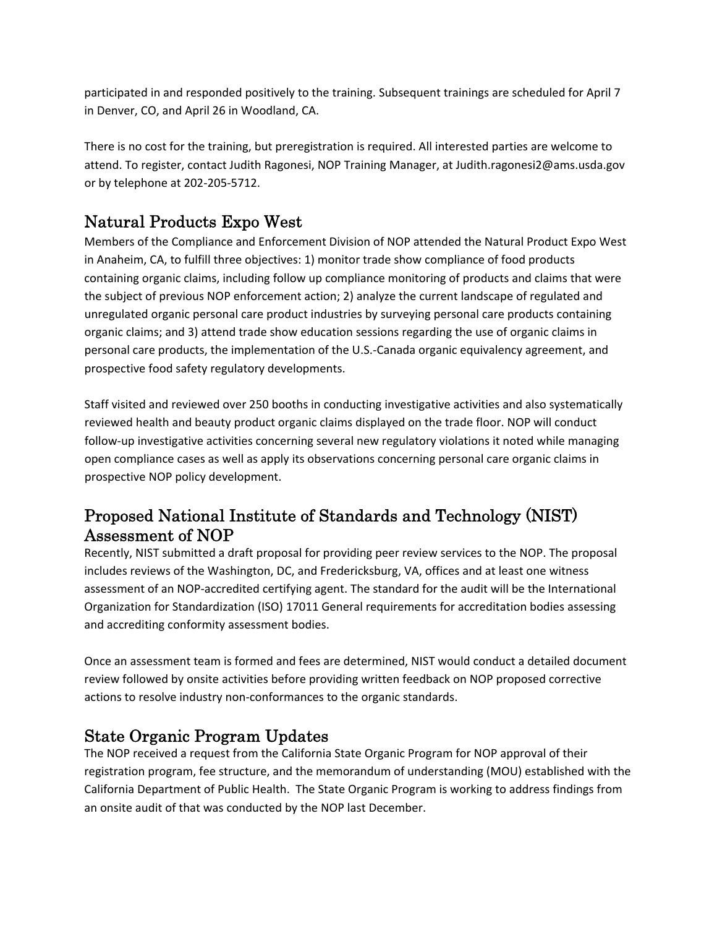participated in and responded positively to the training. Subsequent trainings are scheduled for April 7 in Denver, CO, and April 26 in Woodland, CA.

There is no cost for the training, but preregistration is required. All interested parties are welcome to attend. To register, contact Judith Ragonesi, NOP Training Manager, at [Judith.ragonesi2@ams.usda.gov](mailto:Judith.ragonesi2@ams.usda.gov) or by telephone at 202‐205‐5712.

# Natural Products Expo West

Members of the Compliance and Enforcement Division of NOP attended the Natural Product Expo West in Anaheim, CA, to fulfill three objectives: 1) monitor trade show compliance of food products containing organic claims, including follow up compliance monitoring of products and claims that were the subject of previous NOP enforcement action; 2) analyze the current landscape of regulated and unregulated organic personal care product industries by surveying personal care products containing organic claims; and 3) attend trade show education sessions regarding the use of organic claims in personal care products, the implementation of the U.S.‐Canada organic equivalency agreement, and prospective food safety regulatory developments.

Staff visited and reviewed over 250 booths in conducting investigative activities and also systematically reviewed health and beauty product organic claims displayed on the trade floor. NOP will conduct follow‐up investigative activities concerning several new regulatory violations it noted while managing open compliance cases as well as apply its observations concerning personal care organic claims in prospective NOP policy development.

### Proposed National Institute of Standards and Technology (NIST) Assessment of NOP

Recently, NIST submitted a draft proposal for providing peer review services to the NOP. The proposal includes reviews of the Washington, DC, and Fredericksburg, VA, offices and at least one witness assessment of an NOP‐accredited certifying agent. The standard for the audit will be the International Organization for Standardization (ISO) 17011 General requirements for accreditation bodies assessing and accrediting conformity assessment bodies.

Once an assessment team is formed and fees are determined, NIST would conduct a detailed document review followed by onsite activities before providing written feedback on NOP proposed corrective actions to resolve industry non‐conformances to the organic standards.

# State Organic Program Updates

The NOP received a request from the California State Organic Program for NOP approval of their registration program, fee structure, and the memorandum of understanding (MOU) established with the California Department of Public Health. The State Organic Program is working to address findings from an onsite audit of that was conducted by the NOP last December.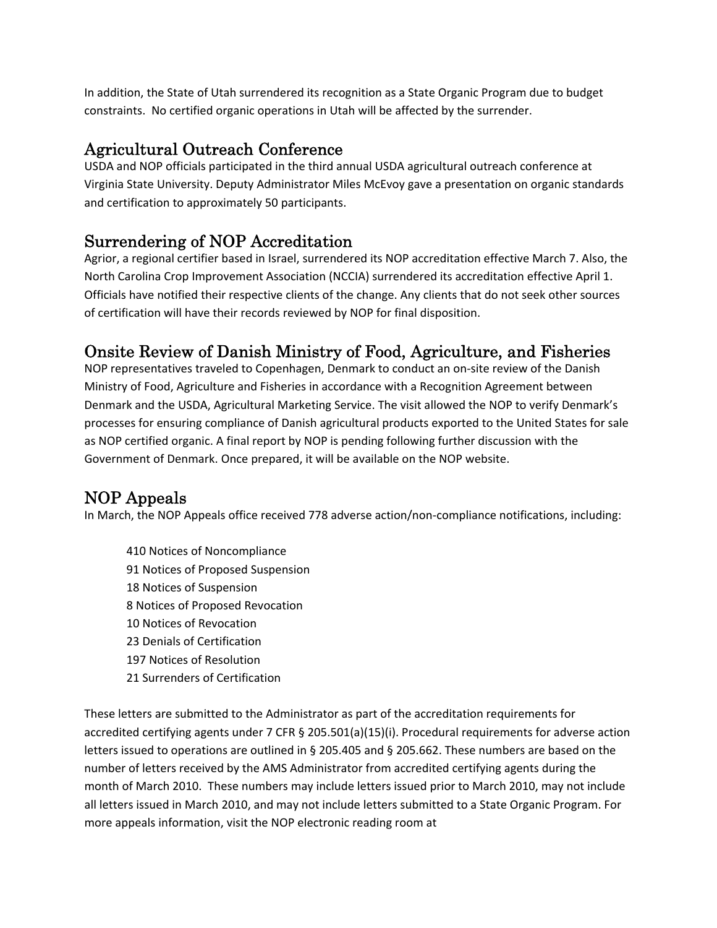In addition, the State of Utah surrendered its recognition as a State Organic Program due to budget constraints. No certified organic operations in Utah will be affected by the surrender.

### Agricultural Outreach Conference

USDA and NOP officials participated in the third annual USDA agricultural outreach conference at Virginia State University. Deputy Administrator Miles McEvoy gave a presentation on organic standards and certification to approximately 50 participants.

### Surrendering of NOP Accreditation

Agrior, a regional certifier based in Israel, surrendered its NOP accreditation effective March 7. Also, the North Carolina Crop Improvement Association (NCCIA) surrendered its accreditation effective April 1. Officials have notified their respective clients of the change. Any clients that do not seek other sources of certification will have their records reviewed by NOP for final disposition.

# Onsite Review of Danish Ministry of Food, Agriculture, and Fisheries

NOP representatives traveled to Copenhagen, Denmark to conduct an on‐site review of the Danish Ministry of Food, Agriculture and Fisheries in accordance with a Recognition Agreement between Denmark and the USDA, Agricultural Marketing Service. The visit allowed the NOP to verify Denmark's processes for ensuring compliance of Danish agricultural products exported to the United States for sale as NOP certified organic. A final report by NOP is pending following further discussion with the Government of Denmark. Once prepared, it will be available on the NOP website.

# NOP Appeals

In March, the NOP Appeals office received 778 adverse action/non‐compliance notifications, including:

 Notices of Noncompliance Notices of Proposed Suspension Notices of Suspension Notices of Proposed Revocation Notices of Revocation Denials of Certification Notices of Resolution Surrenders of Certification

These letters are submitted to the Administrator as part of the accreditation requirements for accredited certifying agents under 7 CFR § 205.501(a)(15)(i). Procedural requirements for adverse action letters issued to operations are outlined in § 205.405 and § 205.662. These numbers are based on the number of letters received by the AMS Administrator from accredited certifying agents during the month of March 2010. These numbers may include letters issued prior to March 2010, may not include all letters issued in March 2010, and may not include letters submitted to a State Organic Program. For more appeals information, visit the NOP electronic reading room at